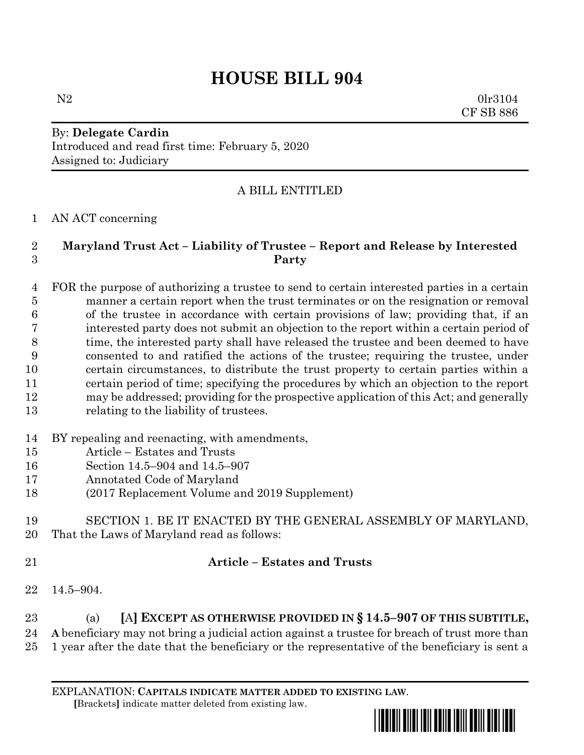# **HOUSE BILL 904**

N2 0lr3104 CF SB 886

## By: **Delegate Cardin** Introduced and read first time: February 5, 2020 Assigned to: Judiciary

## A BILL ENTITLED

#### AN ACT concerning

#### **Maryland Trust Act – Liability of Trustee – Report and Release by Interested Party**

 FOR the purpose of authorizing a trustee to send to certain interested parties in a certain manner a certain report when the trust terminates or on the resignation or removal of the trustee in accordance with certain provisions of law; providing that, if an interested party does not submit an objection to the report within a certain period of 8 time, the interested party shall have released the trustee and been deemed to have consented to and ratified the actions of the trustee; requiring the trustee, under certain circumstances, to distribute the trust property to certain parties within a certain period of time; specifying the procedures by which an objection to the report may be addressed; providing for the prospective application of this Act; and generally relating to the liability of trustees.

- BY repealing and reenacting, with amendments,
- Article Estates and Trusts
- Section 14.5–904 and 14.5–907
- Annotated Code of Maryland
- (2017 Replacement Volume and 2019 Supplement)

#### SECTION 1. BE IT ENACTED BY THE GENERAL ASSEMBLY OF MARYLAND, That the Laws of Maryland read as follows:

#### **Article – Estates and Trusts**

14.5–904.

# (a) **[**A**] EXCEPT AS OTHERWISE PROVIDED IN § 14.5–907 OF THIS SUBTITLE,**

**A** beneficiary may not bring a judicial action against a trustee for breach of trust more than

1 year after the date that the beneficiary or the representative of the beneficiary is sent a

EXPLANATION: **CAPITALS INDICATE MATTER ADDED TO EXISTING LAW**.  **[**Brackets**]** indicate matter deleted from existing law.

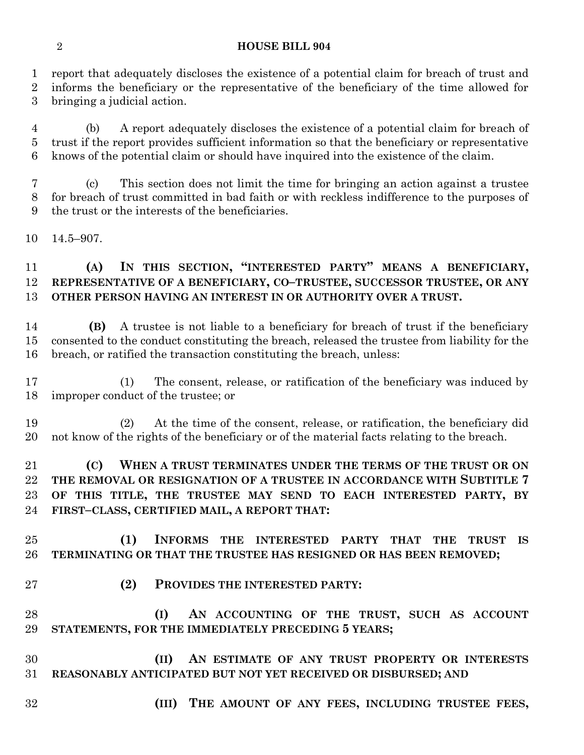#### **HOUSE BILL 904**

 report that adequately discloses the existence of a potential claim for breach of trust and informs the beneficiary or the representative of the beneficiary of the time allowed for bringing a judicial action.

 (b) A report adequately discloses the existence of a potential claim for breach of trust if the report provides sufficient information so that the beneficiary or representative knows of the potential claim or should have inquired into the existence of the claim.

 (c) This section does not limit the time for bringing an action against a trustee for breach of trust committed in bad faith or with reckless indifference to the purposes of the trust or the interests of the beneficiaries.

14.5–907.

# **(A) IN THIS SECTION, "INTERESTED PARTY" MEANS A BENEFICIARY, REPRESENTATIVE OF A BENEFICIARY, CO–TRUSTEE, SUCCESSOR TRUSTEE, OR ANY OTHER PERSON HAVING AN INTEREST IN OR AUTHORITY OVER A TRUST.**

 **(B)** A trustee is not liable to a beneficiary for breach of trust if the beneficiary consented to the conduct constituting the breach, released the trustee from liability for the breach, or ratified the transaction constituting the breach, unless:

 (1) The consent, release, or ratification of the beneficiary was induced by improper conduct of the trustee; or

 (2) At the time of the consent, release, or ratification, the beneficiary did not know of the rights of the beneficiary or of the material facts relating to the breach.

 **(C) WHEN A TRUST TERMINATES UNDER THE TERMS OF THE TRUST OR ON THE REMOVAL OR RESIGNATION OF A TRUSTEE IN ACCORDANCE WITH SUBTITLE 7 OF THIS TITLE, THE TRUSTEE MAY SEND TO EACH INTERESTED PARTY, BY FIRST–CLASS, CERTIFIED MAIL, A REPORT THAT:**

 **(1) INFORMS THE INTERESTED PARTY THAT THE TRUST IS TERMINATING OR THAT THE TRUSTEE HAS RESIGNED OR HAS BEEN REMOVED;**

**(2) PROVIDES THE INTERESTED PARTY:**

 **(I) AN ACCOUNTING OF THE TRUST, SUCH AS ACCOUNT STATEMENTS, FOR THE IMMEDIATELY PRECEDING 5 YEARS;**

 **(II) AN ESTIMATE OF ANY TRUST PROPERTY OR INTERESTS REASONABLY ANTICIPATED BUT NOT YET RECEIVED OR DISBURSED; AND**

- 
- **(III) THE AMOUNT OF ANY FEES, INCLUDING TRUSTEE FEES,**